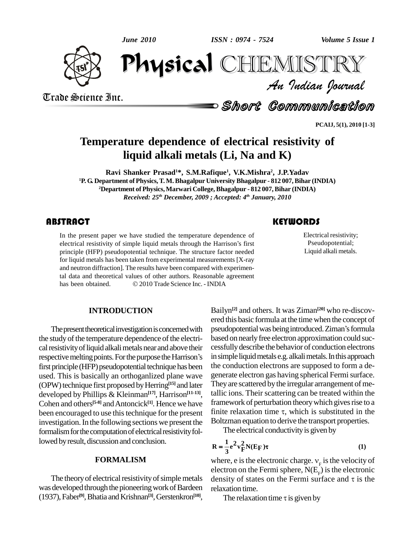*June 2010*

*ISSN : 0974 - 7524*



*Volume 5 Issue 1*<br>IISTRY<br>Indian Iournal June 2010  $\frac{1}{2}$ CHEMISTRY

Trade Science Inc. Trade Science Inc.

Short Communication

**PCAIJ, 5(1), 2010 [1-3]**

## **Temperature dependence of electrical resistivity of liquid alkali metals (Li, Na and K)**

**Ravi Shanker Prasad <sup>1</sup>\*, S.M.Rafique 1 , V.K.Mishra 2 , J.P.Yadav <sup>1</sup>P. G. Department of Physics,T. M.Bhagalpur University Bhagalpur - 812 007,Bihar (INDIA) <sup>2</sup>Department of Physics,Marwari College, Bhagalpur - 812 007,Bihar (INDIA)** *Received: 25 th December, 2009 ; Accepted: 4 th January, 2010*

In the present paper we have studied the temperature dependence of electrical resistivity of simple liquid metals through the Harrison's first principle (HFP) pseudopotential technique. The structure factor needed In the present paper we have studied the temperature dependence of principle (HFP) pseudopotential technique. The structure factor needed for liquid metals has been taken from experimental measurements [X-ray and neutron diffraction]. The results have been compared with experimental data and theoretical values of other authors. Reasonable agreement has been obtained.  $\textcircled{2010}$  Trade Science Inc. - INDIA tal data and theoretical values of other authors. Reasonable agreement

## **INTRODUCTION**

The present theoretical investigation is concerned with the study of the temperature dependence of the electrical resistivity of liquid alkali metals near and above their respective melting points. For the purpose the Harrison's first principle (HFP) pseudopotential technique has been used. This is basically an orthoganlized plane wave (OPW) technique first proposed by Herring<sup>[15]</sup> and later The developed by Phillips & Kleinman **[17]**, Harrison **[11-13]**, Cohen and others<sup>[5-8]</sup> and Antoncick<sup>[1]</sup>. Hence we have frame been encouraged to use this technique for the present finite relaxation time  $\tau$ , which is substituted in the investigation. In the following sections we present the formalism for the computation of electrical resistivity followed by result, discussion and conclusion.

### **FORMALISM**

The theory of electrical resistivity of simple metals was developed through the pioneering work of Bardeen (1937), Faber<sup>[9]</sup>, Bhatia and Krishnan<sup>[3]</sup>, Gerstenkron<sup>[10]</sup>,

Electrical resistiv<br>Pseudopotentia<br>Liquid alkali met Electrical resistivity; Pseudopotential; Liquid alkali metals.

Bailyn **[2]** and others. It was Ziman **[20]** who re-discov ered this basic formula at the time when the concept of pseudopotential was being introduced. Ziman's formula based on nearly free electron approximation could successfullydescribe the behavior of conduction electrons in simple liquid metals e.g. alkali metals. In this approach the conduction electrons are supposed to form a de generate electron gas having spherical Fermisurface. They are scattered by the irregular arrangement of metallic ions. Their scattering can be treated within the framework of perturbation theory which gives rise to a tallic ions. Their scattering can be treated within the<br>framework of perturbation theory which gives rise to a<br>finite relaxation time  $\tau$ , which is substituted in the Boltzman equation to derive the transport properties.

The electrical conductivity is given by  
\n
$$
\mathbf{R} = \frac{1}{3} \mathbf{e}^2 \mathbf{v}_F^2 \mathbf{N}(\mathbf{E}_F) \boldsymbol{\tau}
$$
\n(1)

 $\mathbf{R} = \frac{1}{3} e^2 \mathbf{v}_F^2 \mathbf{N}(\mathbf{E} \mathbf{F}) \mathbf{\tau}$  (1)<br>where, e is the electronic charge.  $v_F$  is the velocity of<br>electron on the Fermi sphere,  $N(E_F)$  is the electronic<br>density of states on the Fermi surface and  $\tau$  is electron on the Fermi sphere,  $N(E<sub>F</sub>)$  is the electronic relaxation time. density of states on the Fermi surface and  $\tau$  is the relaxation time.<br>The relaxation time  $\tau$  is given by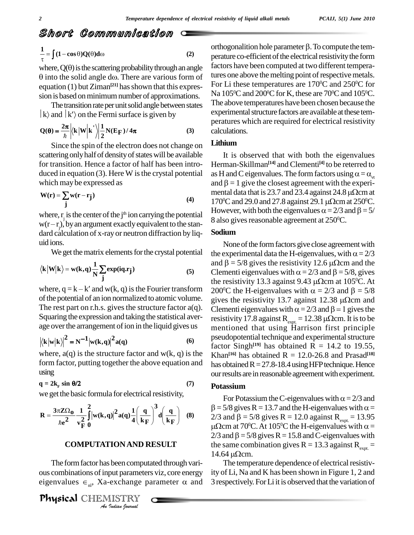# Short Communication *\ort Communi*<br>|(1-cosθ)Q(θ)do

$$
\frac{1}{\tau} = \int (1 - \cos \theta) Q(\theta) d\omega
$$
\n(2)

where,  $Q(\theta)$  is the scattering probability through an angle  $\theta$  into the solid angle d $\omega$ . There are various form of equation (1) but  $Ziman<sup>[21]</sup>$  has shown that this expres-

sion is based on minimum number of approximations.<br>The transition rate per unit solid angle between states  $\begin{bmatrix} k \end{bmatrix}$  and  $\begin{bmatrix} k' \end{bmatrix}$  on the Fermi surface is given by The transition rate per unit solid angle between states

$$
|\mathbf{k}\rangle \text{ and } |\mathbf{k}\rangle \text{ on the Fermi surface is given by}
$$
  
 
$$
\mathbf{Q}(\mathbf{\theta}) = \frac{2\pi}{\hbar} \left| \langle \mathbf{k} | \mathbf{W} | \mathbf{k} \rangle \right| \frac{1}{2} \mathbf{N}(\mathbf{E}_{\mathbf{F}}) / 4\pi
$$
 (3)

Since the spin of the electron does not change on scattering only half of density of states will be available for transition. Hence a factor of half has been intro duced in equation (3). Here W is the crystal potential as<br>which may be expressed as an an  $W(r) = \sum w(r - r_1)$ which may be expressed as<br>W(r) =  $\sum w(r - r_i)$ 

$$
W(r) = \sum_{j} w(r - r_j)
$$
 (4)

where, r<sub>j</sub> is the center of the j<sup>th</sup> ion carrying the potential  $\frac{1}{8}$ **i**<br>where, r<sub>j</sub> is the c<br>w(r – r<sub>j</sub>), by an a  $w(r-r_j)$ , by an argument exactly equivalent to the stan-<br>dard calculation of x-ray or neutron diffraction by liquid ions.

We get the matrix elements for the crystal potential the

$$
\text{We get the matrix elements for the crystal potential}
$$
\n
$$
\langle \mathbf{k} | \mathbf{W} | \mathbf{k} \rangle = \mathbf{w}(\mathbf{k}, \mathbf{q}) \frac{1}{N} \sum_{j} \exp(i\mathbf{q} \cdot \mathbf{r}_{j})
$$
\n(5)

of the potential of an ion normalized to atomic volume. gives the resistivity 13.7 against 12.38  $\mu\Omega$ cm and The rest part on r.h.s. gives the structure factor  $a(q)$ . Clementi eigenvalues with  $\alpha = 2/3$  and  $\beta = 1$  gives the Squaring the expression and taking the statistical aver- Equaling the expression and taking the statistical averages

$$
|\langle \mathbf{k} | \mathbf{w} | \mathbf{k} \rangle|^2 = \mathbf{N}^{-1} |\mathbf{w}(\mathbf{k}, \mathbf{q})|^2 \mathbf{a}(\mathbf{q}) \tag{6}
$$

where,  $a(q)$  is the structure factor and  $w(k, q)$  is the form factor, putting together the above equation and has obt<br>using our rest<br> $\mathbf{q} = 2\mathbf{k}_\text{F} \sin \theta/2$  (7) Potass using

$$
q = 2k_{F} \sin \theta/2 \tag{7}
$$

we get the basic formula for electrical resistivity,  
\n
$$
\mathbf{R} = \frac{3\pi Z \Omega_0}{\hbar e^2} \frac{1}{v_F^2} \int_0^2 |w(\mathbf{k}, \mathbf{q})|^2 a(\mathbf{q}) \frac{1}{4} \left(\frac{\mathbf{q}}{\mathbf{k}_F}\right)^3 d\left(\frac{\mathbf{q}}{\mathbf{k}_F}\right)
$$
 (8)

## **COMPUTATION AND RESULT** the

*I*<br>*I* been comput<br>put paramete<br>exchange p<br>IISTRY The form factor has been computated through various combinations ofinput parameters viz, core energy The form factor has been computated through vari-<br>ous combinations of input parameters viz, core energy ity of L<br>eigenvalues  $\epsilon_{nl}$ , Xa-exchange parameter  $\alpha$  and 3 respe

Physical CHEMISTRY

orthogonalition hole parameter  $\beta$ . To compute the temperature co-efficient of the electrical resistivity the form factors have been computed at two different temperatures one above the melting point of respective metals. For Li these temperatures are 170<sup>o</sup>C and 250<sup>o</sup>C for Na  $105^{\rm o}{\rm C}$  and  $200^{\rm o}{\rm C}$  for K, these are  $70^{\rm o}{\rm C}$  and  $105^{\rm o}{\rm C}$ . The above temperatures have been chosen because the experimental structure factors are available at these temperatures which are required for electrical resistivity calculations.

## **Lithium**

It is observed that with both the eigenvalues Herman-Skillman **[14]** and Clementi **[4]** to be reterred to It is observed that with both the eigenvalues<br>Herman-Skillman<sup>[14]</sup> and Clementi<sup>[4]</sup> to be reterred to<br>as H and C eigenvalues. The form factors using  $\alpha = \alpha_{\text{at}}$ <br>and  $\beta = 1$  give the closest agreement with the experias H and C eigenvalues. The form factors using  $\alpha = \alpha_{vt}$ <br>and  $\beta = 1$  give the closest agreement with the experi-170 °C and 29.0 and 27.8 against 29.1  $\mu\Omega$ cm at 250 °C.  $\beta = 1$  give the closest agreement with the experi-<br>tal data that is 23.7 and 23.4 against 24.8  $\mu\Omega$ cm at<br><sup>o</sup>C and 29.0 and 27.8 against 29.1  $\mu\Omega$ cm at 250<sup>o</sup>C. mental data that is 23.7 and 23.4 against 24.8  $\mu\Omega$ cm at 170<sup>o</sup>C and 29.0 and 27.8 against 29.1  $\mu\Omega$ cm at 250<sup>o</sup>C.<br>However, with both the eigenvalues  $\alpha = 2/3$  and  $\beta = 5/3$ 8 also gives reasonable agreement at 250°C.

### **Sodium**

 $\langle \mathbf{k} | \mathbf{W} | \mathbf{k} \rangle$  =  $\mathbf{w}(\mathbf{k}, \mathbf{q}) \frac{1}{N} \sum_{j} \exp(i\mathbf{q} \cdot \mathbf{r}_j)$  (5) and  $\beta = 5/8$  gives the resistivity 12.6  $\mu\Omega$ cm and the<br>Clementi eigenvalues with  $\alpha = 2/3$  and  $\beta = 5/8$ , gives<br>the resistivity 13.3 aga None of the form factors give close agreement with **Sodium**<br>None of the form factors give close agreement with<br>the experimental data the H-eigenvalues, with  $\alpha$  = 2/3 None of the form factors give close agreement with<br>the experimental data the H-eigenvalues, with  $\alpha = 2/3$ <br>and  $\beta = 5/8$  gives the resistivity 12.6  $\mu \Omega$ cm and the the experimental data the H-eigenvalues, with  $\alpha = 2/3$ <br>and  $\beta = 5/8$  gives the resistivity 12.6  $\mu\Omega$ cm and the<br>Clementi eigenvalues with  $\alpha = 2/3$  and  $\beta = 5/8$ , gives and  $\beta = 5/8$  gives the resistivity 12.6  $\mu\Omega$ cm and the<br>Clementi eigenvalues with  $\alpha = 2/3$  and  $\beta = 5/8$ , gives<br>the resistivity 13.3 against 9.43  $\mu\Omega$ cm at 105<sup>o</sup>C. At 200<sup>o</sup>C the H-eigenvalues with  $\alpha = 2/3$  and  $\beta = 5/8$  gives the resistivity 13.7 against 12.38  $\mu\Omega$ cm and Clementi eigenvalues with  $\alpha = 2/3$  and  $\beta = 1$  gives the menti eigenvalues with  $\alpha = 2/3$  and  $\beta = 5/8$ , gives<br>resistivity 13.3 against 9.43  $\mu\Omega$ cm at 105<sup>o</sup>C. At<br><sup>0</sup>C the H-eigenvalues with  $\alpha = 2/3$  and  $\beta = 5/8$ the resistivity 13.3 against 9.43  $\mu\Omega$ cm at 105<sup>o</sup>C. At 200<sup>o</sup>C the H-eigenvalues with  $\alpha = 2/3$  and  $\beta = 5/8$  gives the resistivity 13.7 against 12.38  $\mu\Omega$ cm and resistivity 17.8 against R<sub>expt</sub> = 12.38  $\mu\Omega$ cm. It is to be mentioned that using Harrison first principle pseudopotential technique and experimental structure factor Singh<sup>[19]</sup> has obtained  $R = 14.2$  to 19.55, Khan<sup>[16]</sup> has obtained  $R = 12.0$ -26.8 and Prasad<sup>[18]</sup> has obtained  $R = 27.8-18.4$  using HFP technique. Hence our results are in reasonable agreement with experiment.

## **Potassium**

For Potassium the C-eigenvalues with  $\alpha$  = 2/3 and **Potassium**<br>For Potassium the C-eigenvalues with  $\alpha = 2/3$  and<br> $\beta = 5/8$  gives R = 13.7 and the H-eigenvalues with  $\alpha =$ For Potassium the C-eigenvalues with  $\alpha = 2/3$  and  $\beta = 5/8$  gives R = 13.7 and the H-eigenvalues with  $\alpha = 2/3$  and  $\beta = 5/8$  gives R = 12.0 against R<sub>expt</sub> = 13.95 cm at  $70^{\circ}$ C. At  $105^{\circ}$ C the H- $\circ$ and the H-eigenvalues with  $\alpha =$ <br>R = 12.0 against R<sub>expt</sub> = 13.95<br><sup>0</sup>C the H-eigenvalues with  $\alpha$  = 2/3 and β = 5/8 gives R = 12.0 against R<sub>expt</sub> = 13.95<br>μΩcm at 70<sup>o</sup>C. At 105<sup>o</sup>C the H-eigenvalues with  $\alpha$  = 2/3 and β = 5/8 gives R = 15.8 and C-eigenvalues with the same combination gives  $R = 13.3$  against  $R_{\text{expt.}} =$  $2/3$  and β = 5/8 give<br>the same combina<br>14.64 μΩcm.

The temperature dependence of electrical resistivity of Li, Na and K has been shown in Figure 1, 2 and 3 respectively. For Li it is observed that the variation of